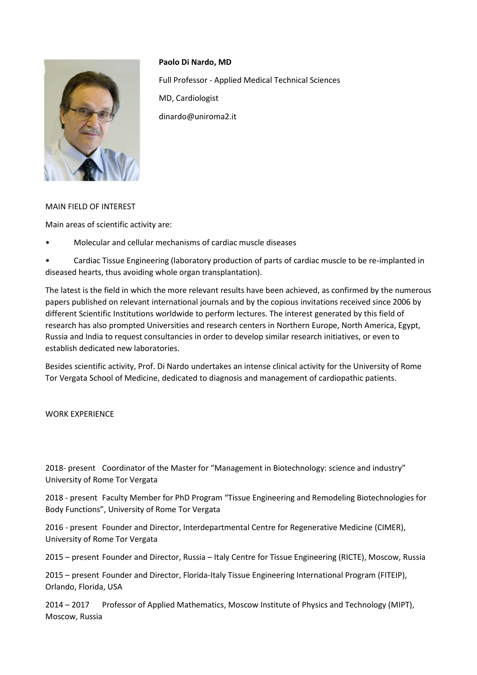

**Paolo Di Nardo, MD** Full Professor - Applied Medical Technical Sciences MD, Cardiologist dinardo@uniroma2.it

## MAIN FIELD OF INTEREST

Main areas of scientific activity are:

• Molecular and cellular mechanisms of cardiac muscle diseases

• Cardiac Tissue Engineering (laboratory production of parts of cardiac muscle to be re-implanted in diseased hearts, thus avoiding whole organ transplantation).

The latest is the field in which the more relevant results have been achieved, as confirmed by the numerous papers published on relevant international journals and by the copious invitations received since 2006 by different Scientific Institutions worldwide to perform lectures. The interest generated by this field of research has also prompted Universities and research centers in Northern Europe, North America, Egypt, Russia and India to request consultancies in order to develop similar research initiatives, or even to establish dedicated new laboratories.

Besides scientific activity, Prof. Di Nardo undertakes an intense clinical activity for the University of Rome Tor Vergata School of Medicine, dedicated to diagnosis and management of cardiopathic patients.

WORK EXPERIENCE

2018- present Coordinator of the Master for "Management in Biotechnology: science and industry" University of Rome Tor Vergata

2018 - present Faculty Member for PhD Program "Tissue Engineering and Remodeling Biotechnologies for Body Functions", University of Rome Tor Vergata

2016 - present Founder and Director, Interdepartmental Centre for Regenerative Medicine (CIMER), University of Rome Tor Vergata

2015 – present Founder and Director, Russia – Italy Centre for Tissue Engineering (RICTE), Moscow, Russia

2015 – present Founder and Director, Florida-Italy Tissue Engineering International Program (FITEIP), Orlando, Florida, USA

2014 – 2017 Professor of Applied Mathematics, Moscow Institute of Physics and Technology (MIPT), Moscow, Russia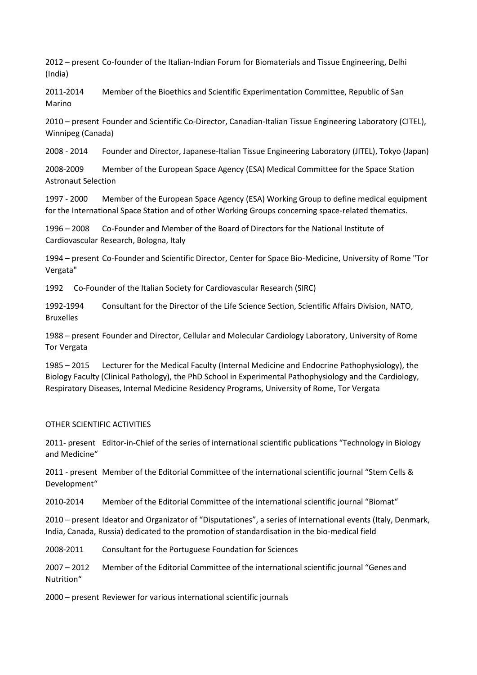2012 – present Co-founder of the Italian-Indian Forum for Biomaterials and Tissue Engineering, Delhi (India)

2011-2014 Member of the Bioethics and Scientific Experimentation Committee, Republic of San Marino

2010 – present Founder and Scientific Co-Director, Canadian-Italian Tissue Engineering Laboratory (CITEL), Winnipeg (Canada)

2008 - 2014 Founder and Director, Japanese-Italian Tissue Engineering Laboratory (JITEL), Tokyo (Japan)

2008-2009 Member of the European Space Agency (ESA) Medical Committee for the Space Station Astronaut Selection

1997 - 2000 Member of the European Space Agency (ESA) Working Group to define medical equipment for the International Space Station and of other Working Groups concerning space-related thematics.

1996 – 2008 Co-Founder and Member of the Board of Directors for the National Institute of Cardiovascular Research, Bologna, Italy

1994 – present Co-Founder and Scientific Director, Center for Space Bio-Medicine, University of Rome "Tor Vergata"

1992 Co-Founder of the Italian Society for Cardiovascular Research (SIRC)

1992-1994 Consultant for the Director of the Life Science Section, Scientific Affairs Division, NATO, Bruxelles

1988 – present Founder and Director, Cellular and Molecular Cardiology Laboratory, University of Rome Tor Vergata

1985 – 2015 Lecturer for the Medical Faculty (Internal Medicine and Endocrine Pathophysiology), the Biology Faculty (Clinical Pathology), the PhD School in Experimental Pathophysiology and the Cardiology, Respiratory Diseases, Internal Medicine Residency Programs, University of Rome, Tor Vergata

## OTHER SCIENTIFIC ACTIVITIES

2011- present Editor-in-Chief of the series of international scientific publications "Technology in Biology and Medicine"

2011 - present Member of the Editorial Committee of the international scientific journal "Stem Cells & Development"

2010-2014 Member of the Editorial Committee of the international scientific journal "Biomat"

2010 – present Ideator and Organizator of "Disputationes", a series of international events (Italy, Denmark, India, Canada, Russia) dedicated to the promotion of standardisation in the bio-medical field

2008-2011 Consultant for the Portuguese Foundation for Sciences

2007 – 2012 Member of the Editorial Committee of the international scientific journal "Genes and Nutrition"

2000 – present Reviewer for various international scientific journals